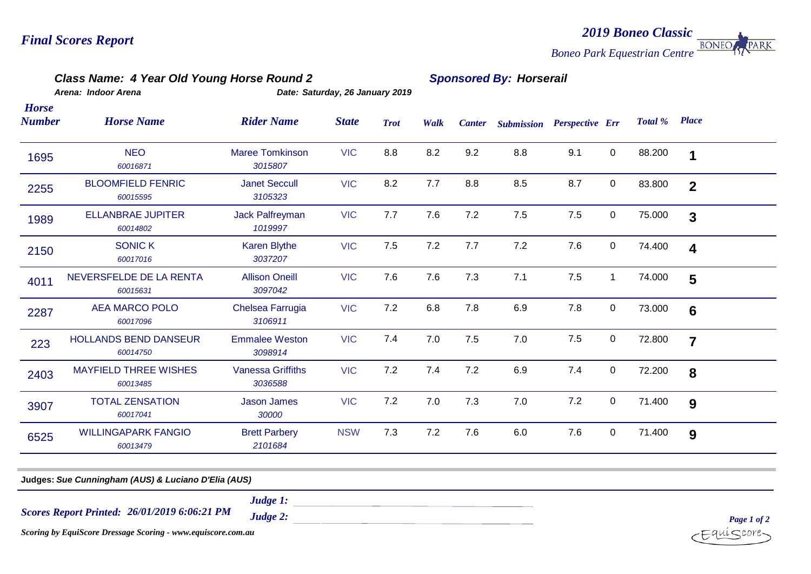#### *2019 Boneo Classic* **BONEO** PARK *Boneo Park Equestrian Centre*

### *Class Name: 4 Year Old Young Horse Round 2 Sponsored By: Horserail*

*Horse* 

*Arena: Indoor Arena Date: Saturday, 26 January 2019*

| Number | <b>Horse Name</b>                        | <b>Rider Name</b>                   | <b>State</b> | <b>Trot</b> | Walk | <b>Canter</b> |     | <b>Submission Perspective Err</b> |              | Total % | <b>Place</b>            |  |
|--------|------------------------------------------|-------------------------------------|--------------|-------------|------|---------------|-----|-----------------------------------|--------------|---------|-------------------------|--|
| 1695   | <b>NEO</b><br>60016871                   | <b>Maree Tomkinson</b><br>3015807   | <b>VIC</b>   | 8.8         | 8.2  | 9.2           | 8.8 | 9.1                               | $\mathbf 0$  | 88.200  | 1                       |  |
| 2255   | <b>BLOOMFIELD FENRIC</b><br>60015595     | <b>Janet Seccull</b><br>3105323     | <b>VIC</b>   | 8.2         | 7.7  | 8.8           | 8.5 | 8.7                               | $\mathbf 0$  | 83.800  | $\overline{2}$          |  |
| 1989   | <b>ELLANBRAE JUPITER</b><br>60014802     | <b>Jack Palfreyman</b><br>1019997   | <b>VIC</b>   | 7.7         | 7.6  | 7.2           | 7.5 | 7.5                               | 0            | 75.000  | $\mathbf{3}$            |  |
| 2150   | <b>SONIC K</b><br>60017016               | Karen Blythe<br>3037207             | <b>VIC</b>   | 7.5         | 7.2  | 7.7           | 7.2 | 7.6                               | $\mathbf 0$  | 74.400  | $\overline{\mathbf{4}}$ |  |
| 4011   | NEVERSFELDE DE LA RENTA<br>60015631      | <b>Allison Oneill</b><br>3097042    | <b>VIC</b>   | 7.6         | 7.6  | 7.3           | 7.1 | 7.5                               | $\mathbf{1}$ | 74.000  | 5                       |  |
| 2287   | <b>AEA MARCO POLO</b><br>60017096        | Chelsea Farrugia<br>3106911         | <b>VIC</b>   | 7.2         | 6.8  | 7.8           | 6.9 | 7.8                               | 0            | 73.000  | $6\phantom{1}6$         |  |
| 223    | <b>HOLLANDS BEND DANSEUR</b><br>60014750 | <b>Emmalee Weston</b><br>3098914    | <b>VIC</b>   | 7.4         | 7.0  | 7.5           | 7.0 | 7.5                               | $\mathbf 0$  | 72.800  | $\overline{7}$          |  |
| 2403   | <b>MAYFIELD THREE WISHES</b><br>60013485 | <b>Vanessa Griffiths</b><br>3036588 | <b>VIC</b>   | 7.2         | 7.4  | 7.2           | 6.9 | 7.4                               | $\mathbf 0$  | 72.200  | 8                       |  |
| 3907   | <b>TOTAL ZENSATION</b><br>60017041       | <b>Jason James</b><br>30000         | <b>VIC</b>   | 7.2         | 7.0  | 7.3           | 7.0 | 7.2                               | $\mathbf 0$  | 71.400  | 9                       |  |
| 6525   | <b>WILLINGAPARK FANGIO</b><br>60013479   | <b>Brett Parbery</b><br>2101684     | <b>NSW</b>   | 7.3         | 7.2  | 7.6           | 6.0 | 7.6                               | $\mathbf 0$  | 71.400  | 9                       |  |
|        |                                          |                                     |              |             |      |               |     |                                   |              |         |                         |  |

**Judges:** *Sue Cunningham (AUS) & Luciano D'Elia (AUS)*

*26/01/2019 6:06:21 PM Scores Report Printed:*

*Judge 1:*

*Judge 2:* 

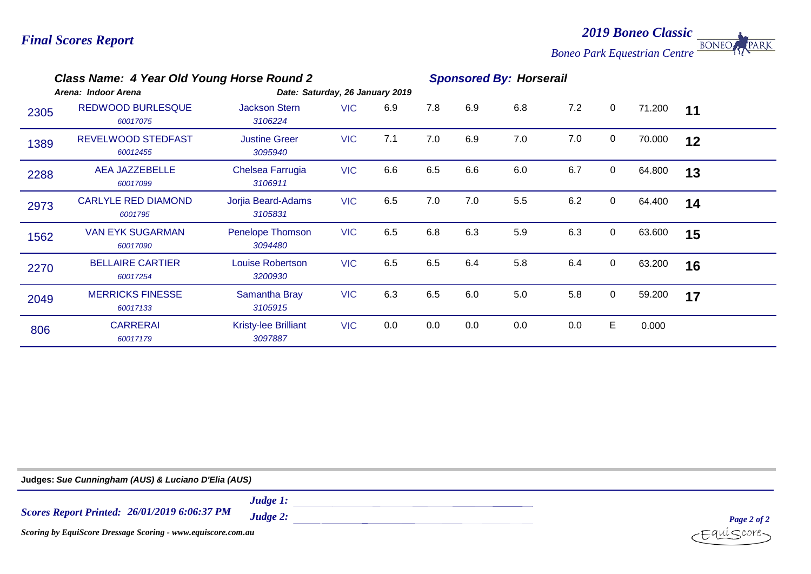*2019 Boneo Classic* **BONEO** PARK

*Boneo Park Equestrian Centre*

|      | Class Name: 4 Year Old Young Horse Round 2<br>Arena: Indoor Arena | Date: Saturday, 26 January 2019        | <b>Sponsored By: Horserail</b> |     |     |     |     |     |             |        |    |  |
|------|-------------------------------------------------------------------|----------------------------------------|--------------------------------|-----|-----|-----|-----|-----|-------------|--------|----|--|
| 2305 | <b>REDWOOD BURLESQUE</b><br>60017075                              | <b>Jackson Stern</b><br>3106224        | <b>VIC</b>                     | 6.9 | 7.8 | 6.9 | 6.8 | 7.2 | $\mathbf 0$ | 71.200 | 11 |  |
| 1389 | <b>REVELWOOD STEDFAST</b><br>60012455                             | <b>Justine Greer</b><br>3095940        | <b>VIC</b>                     | 7.1 | 7.0 | 6.9 | 7.0 | 7.0 | $\mathbf 0$ | 70.000 | 12 |  |
| 2288 | <b>AEA JAZZEBELLE</b><br>60017099                                 | Chelsea Farrugia<br>3106911            | <b>VIC</b>                     | 6.6 | 6.5 | 6.6 | 6.0 | 6.7 | $\mathbf 0$ | 64.800 | 13 |  |
| 2973 | <b>CARLYLE RED DIAMOND</b><br>6001795                             | Jorjia Beard-Adams<br>3105831          | <b>VIC</b>                     | 6.5 | 7.0 | 7.0 | 5.5 | 6.2 | $\pmb{0}$   | 64.400 | 14 |  |
| 1562 | <b>VAN EYK SUGARMAN</b><br>60017090                               | Penelope Thomson<br>3094480            | <b>VIC</b>                     | 6.5 | 6.8 | 6.3 | 5.9 | 6.3 | $\mathbf 0$ | 63.600 | 15 |  |
| 2270 | <b>BELLAIRE CARTIER</b><br>60017254                               | <b>Louise Robertson</b><br>3200930     | <b>VIC</b>                     | 6.5 | 6.5 | 6.4 | 5.8 | 6.4 | $\mathbf 0$ | 63.200 | 16 |  |
| 2049 | <b>MERRICKS FINESSE</b><br>60017133                               | Samantha Bray<br>3105915               | <b>VIC</b>                     | 6.3 | 6.5 | 6.0 | 5.0 | 5.8 | $\mathbf 0$ | 59.200 | 17 |  |
| 806  | <b>CARRERAI</b><br>60017179                                       | <b>Kristy-lee Brilliant</b><br>3097887 | <b>VIC</b>                     | 0.0 | 0.0 | 0.0 | 0.0 | 0.0 | E           | 0.000  |    |  |

**Judges:** *Sue Cunningham (AUS) & Luciano D'Elia (AUS)*

*26/01/2019 6:06:37 PM Scores Report Printed: Judge 1: Judge 2: Scoring by EquiScore Dressage Scoring - www.equiscore.com.au*

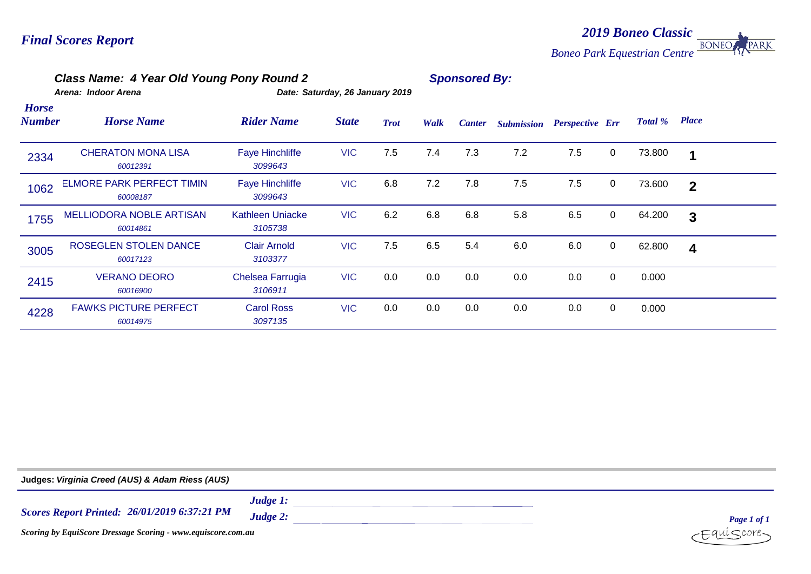#### *2019 Boneo Classic* **BONEO** *Boneo Park Equestrian Centre*

## *Class Name: 4 Year Old Young Pony Round 2 Sponsored By:*

*Arena: Indoor Arena Date: Saturday, 26 January 2019*

| <b>Horse</b><br><b>Number</b> | <b>Horse Name</b>                            | <b>Rider Name</b>                  | <b>State</b> | <b>Trot</b> | Walk | <b>Canter</b> | <b>Submission</b> | <b>Perspective Err</b> |             | Total % | <b>Place</b>            |  |
|-------------------------------|----------------------------------------------|------------------------------------|--------------|-------------|------|---------------|-------------------|------------------------|-------------|---------|-------------------------|--|
| 2334                          | <b>CHERATON MONA LISA</b><br>60012391        | <b>Faye Hinchliffe</b><br>3099643  | <b>VIC</b>   | 7.5         | 7.4  | 7.3           | 7.2               | 7.5                    | $\mathbf 0$ | 73.800  | 1                       |  |
| 1062                          | <b>ELMORE PARK PERFECT TIMIN</b><br>60008187 | <b>Faye Hinchliffe</b><br>3099643  | <b>VIC</b>   | 6.8         | 7.2  | 7.8           | 7.5               | 7.5                    | $\mathbf 0$ | 73.600  | $\overline{2}$          |  |
| 1755                          | <b>MELLIODORA NOBLE ARTISAN</b><br>60014861  | <b>Kathleen Uniacke</b><br>3105738 | <b>VIC</b>   | 6.2         | 6.8  | 6.8           | 5.8               | 6.5                    | $\mathbf 0$ | 64.200  | $\mathbf{3}$            |  |
| 3005                          | <b>ROSEGLEN STOLEN DANCE</b><br>60017123     | <b>Clair Arnold</b><br>3103377     | <b>VIC</b>   | 7.5         | 6.5  | 5.4           | 6.0               | 6.0                    | $\mathbf 0$ | 62.800  | $\overline{\mathbf{4}}$ |  |
| 2415                          | <b>VERANO DEORO</b><br>60016900              | Chelsea Farrugia<br>3106911        | <b>VIC</b>   | 0.0         | 0.0  | 0.0           | 0.0               | 0.0                    | $\mathbf 0$ | 0.000   |                         |  |
| 4228                          | <b>FAWKS PICTURE PERFECT</b><br>60014975     | <b>Carol Ross</b><br>3097135       | <b>VIC</b>   | 0.0         | 0.0  | 0.0           | 0.0               | 0.0                    | $\mathbf 0$ | 0.000   |                         |  |

| Judges: Virginia Creed (AUS) & Adam Riess (AUS)              |                         |             |
|--------------------------------------------------------------|-------------------------|-------------|
| <b>Scores Report Printed: 26/01/2019 6:37:21 PM</b>          | Judge $1$ :<br>Judge 2: | Page 1 of 1 |
| Scoring by EquiScore Dressage Scoring - www.equiscore.com.au | $-Equiscore$            |             |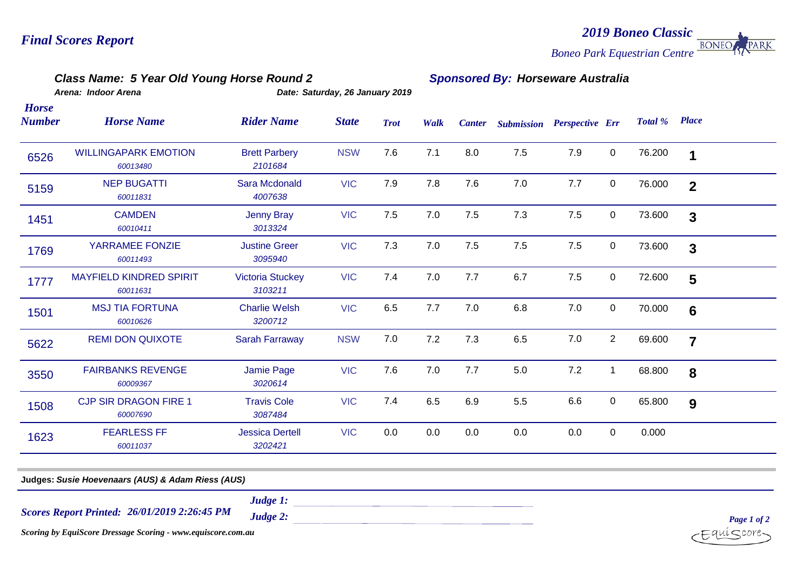#### *2019 Boneo Classic* **BONEO** PARK *Boneo Park Equestrian Centre*

#### *Class Name: 5 Year Old Young Horse Round 2 Sponsored By: Horseware Australia*

*Horse* 

*Arena: Indoor Arena Date: Saturday, 26 January 2019*

| Number | <b>Horse Name</b>                          | <b>Rider Name</b>                  | <b>State</b> | <b>Trot</b> | Walk | <b>Canter</b> | <b>Submission Perspective Err</b> |     |                | Total % | <b>Place</b>            |  |
|--------|--------------------------------------------|------------------------------------|--------------|-------------|------|---------------|-----------------------------------|-----|----------------|---------|-------------------------|--|
| 6526   | <b>WILLINGAPARK EMOTION</b><br>60013480    | <b>Brett Parbery</b><br>2101684    | <b>NSW</b>   | 7.6         | 7.1  | 8.0           | 7.5                               | 7.9 | $\mathbf 0$    | 76.200  | 1                       |  |
| 5159   | <b>NEP BUGATTI</b><br>60011831             | Sara Mcdonald<br>4007638           | <b>VIC</b>   | 7.9         | 7.8  | 7.6           | 7.0                               | 7.7 | $\mathbf 0$    | 76.000  | $\overline{2}$          |  |
| 1451   | <b>CAMDEN</b><br>60010411                  | <b>Jenny Bray</b><br>3013324       | <b>VIC</b>   | 7.5         | 7.0  | 7.5           | 7.3                               | 7.5 | $\mathbf 0$    | 73.600  | $\overline{\mathbf{3}}$ |  |
| 1769   | YARRAMEE FONZIE<br>60011493                | <b>Justine Greer</b><br>3095940    | <b>VIC</b>   | 7.3         | 7.0  | 7.5           | 7.5                               | 7.5 | $\mathbf 0$    | 73.600  | 3                       |  |
| 1777   | <b>MAYFIELD KINDRED SPIRIT</b><br>60011631 | <b>Victoria Stuckey</b><br>3103211 | <b>VIC</b>   | 7.4         | 7.0  | 7.7           | 6.7                               | 7.5 | $\mathbf 0$    | 72.600  | $5\phantom{1}$          |  |
| 1501   | <b>MSJ TIA FORTUNA</b><br>60010626         | <b>Charlie Welsh</b><br>3200712    | <b>VIC</b>   | 6.5         | 7.7  | 7.0           | 6.8                               | 7.0 | $\mathbf 0$    | 70.000  | 6                       |  |
| 5622   | <b>REMI DON QUIXOTE</b>                    | <b>Sarah Farraway</b>              | <b>NSW</b>   | 7.0         | 7.2  | 7.3           | 6.5                               | 7.0 | $\overline{2}$ | 69.600  | $\overline{7}$          |  |
| 3550   | <b>FAIRBANKS REVENGE</b><br>60009367       | Jamie Page<br>3020614              | <b>VIC</b>   | 7.6         | 7.0  | 7.7           | 5.0                               | 7.2 | $\mathbf 1$    | 68.800  | 8                       |  |
| 1508   | <b>CJP SIR DRAGON FIRE 1</b><br>60007690   | <b>Travis Cole</b><br>3087484      | <b>VIC</b>   | 7.4         | 6.5  | 6.9           | 5.5                               | 6.6 | $\mathbf 0$    | 65.800  | 9                       |  |
| 1623   | <b>FEARLESS FF</b><br>60011037             | <b>Jessica Dertell</b><br>3202421  | <b>VIC</b>   | 0.0         | 0.0  | 0.0           | 0.0                               | 0.0 | $\mathbf 0$    | 0.000   |                         |  |

**Judges:** *Susie Hoevenaars (AUS) & Adam Riess (AUS)*

*26/01/2019 2:26:45 PM Scores Report Printed:*

*Judge 1:*

*Judge 2:* 

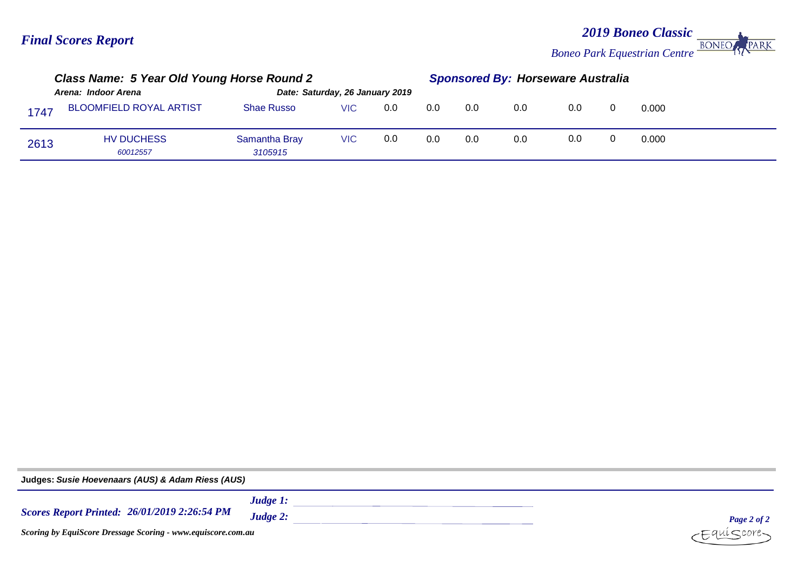#### *2019 Boneo Classic* **BONEO** PARK *Boneo Park Equestrian Centre*

|                     | Class Name: 5 Year Old Young Horse Round 2 |                                 |      |     |     | <b>Sponsored By: Horseware Australia</b> |     |     |  |       |  |
|---------------------|--------------------------------------------|---------------------------------|------|-----|-----|------------------------------------------|-----|-----|--|-------|--|
| Arena: Indoor Arena |                                            | Date: Saturday, 26 January 2019 |      |     |     |                                          |     |     |  |       |  |
| 1747                | <b>BLOOMFIELD ROYAL ARTIST</b>             | <b>Shae Russo</b>               | VIC. | 0.0 | 0.0 | 0.0                                      | 0.0 | 0.0 |  | 0.000 |  |
| 2613                | <b>HV DUCHESS</b><br>60012557              | Samantha Bray<br>3105915        | VIC. | 0.0 | 0.0 | 0.0                                      | 0.0 | 0.0 |  | 0.000 |  |

**Judges:** *Susie Hoevenaars (AUS) & Adam Riess (AUS)Judge 1: 26/01/2019 2:26:54 PM Scores Report Printed: Judge 2: Page 2 of 2*  $i$ core-*Scoring by EquiScore Dressage Scoring - www.equiscore.com.au*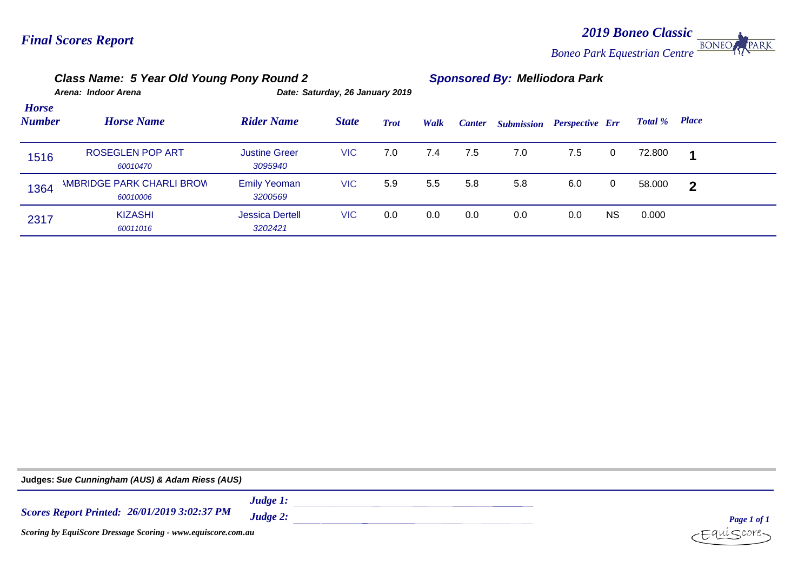*2019 Boneo Classic* PARK **BONEO** *Boneo Park Equestrian Centre*

|                               | Class Name: 5 Year Old Young Pony Round 2    |                                   |              |             | <b>Sponsored By: Melliodora Park</b> |               |                   |                        |    |         |                |  |
|-------------------------------|----------------------------------------------|-----------------------------------|--------------|-------------|--------------------------------------|---------------|-------------------|------------------------|----|---------|----------------|--|
|                               | Arena: Indoor Arena                          | Date: Saturday, 26 January 2019   |              |             |                                      |               |                   |                        |    |         |                |  |
| <b>Horse</b><br><b>Number</b> | <b>Horse Name</b>                            | <b>Rider Name</b>                 | <b>State</b> | <b>Trot</b> | Walk                                 | <b>Canter</b> | <b>Submission</b> | <b>Perspective Err</b> |    | Total % | <b>Place</b>   |  |
| 1516                          | <b>ROSEGLEN POP ART</b><br>60010470          | <b>Justine Greer</b><br>3095940   | <b>VIC</b>   | 7.0         | 7.4                                  | 7.5           | 7.0               | 7.5                    | 0  | 72.800  | 1              |  |
| 1364                          | <b>IMBRIDGE PARK CHARLI BROW</b><br>60010006 | <b>Emily Yeoman</b><br>3200569    | <b>VIC</b>   | 5.9         | 5.5                                  | 5.8           | 5.8               | 6.0                    | 0  | 58.000  | $\overline{2}$ |  |
| 2317                          | <b>KIZASHI</b><br>60011016                   | <b>Jessica Dertell</b><br>3202421 | <b>VIC</b>   | 0.0         | 0.0                                  | 0.0           | 0.0               | 0.0                    | ΝS | 0.000   |                |  |

| Judges: Sue Cunningham (AUS) & Adam Riess (AUS)              |             |             |  |  |  |  |  |  |
|--------------------------------------------------------------|-------------|-------------|--|--|--|--|--|--|
|                                                              | Judge $1$ : |             |  |  |  |  |  |  |
| <b>Scores Report Printed: 26/01/2019 3:02:37 PM</b>          | Judge 2:    | Page 1 of 1 |  |  |  |  |  |  |
| Scoring by EquiScore Dressage Scoring - www.equiscore.com.au | -Equíscore- |             |  |  |  |  |  |  |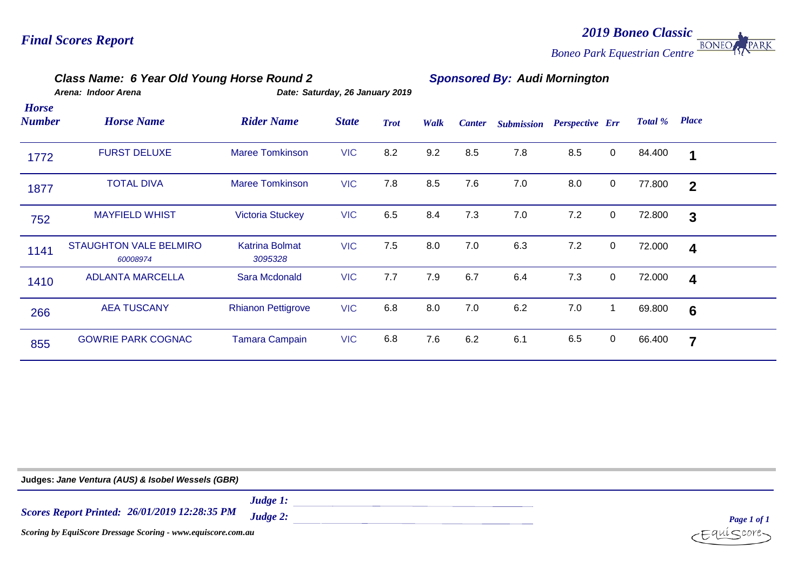# *2019 Boneo Classic Boneo Park Equestrian Centre* **BONEO**

## *Class Name: 6 Year Old Young Horse Round 2 Sponsored By: Audi Mornington*

|                               | Arena: Indoor Arena                       |                                  | Date: Saturday, 26 January 2019 |             |      |               |                   |                        |              |         |                         |  |
|-------------------------------|-------------------------------------------|----------------------------------|---------------------------------|-------------|------|---------------|-------------------|------------------------|--------------|---------|-------------------------|--|
| <b>Horse</b><br><b>Number</b> | <b>Horse Name</b>                         | <b>Rider Name</b>                | <b>State</b>                    | <b>Trot</b> | Walk | <b>Canter</b> | <b>Submission</b> | <b>Perspective Err</b> |              | Total % | <b>Place</b>            |  |
| 1772                          | <b>FURST DELUXE</b>                       | <b>Maree Tomkinson</b>           | <b>VIC</b>                      | 8.2         | 9.2  | 8.5           | 7.8               | 8.5                    | $\mathbf 0$  | 84.400  | 1                       |  |
| 1877                          | <b>TOTAL DIVA</b>                         | <b>Maree Tomkinson</b>           | <b>VIC</b>                      | 7.8         | 8.5  | 7.6           | 7.0               | 8.0                    | $\mathbf 0$  | 77.800  | $\mathbf{2}$            |  |
| 752                           | <b>MAYFIELD WHIST</b>                     | <b>Victoria Stuckey</b>          | <b>VIC</b>                      | 6.5         | 8.4  | 7.3           | 7.0               | 7.2                    | $\mathbf 0$  | 72.800  | 3                       |  |
| 1141                          | <b>STAUGHTON VALE BELMIRO</b><br>60008974 | <b>Katrina Bolmat</b><br>3095328 | <b>VIC</b>                      | 7.5         | 8.0  | 7.0           | 6.3               | 7.2                    | $\mathbf 0$  | 72.000  | $\overline{\mathbf{4}}$ |  |
| 1410                          | <b>ADLANTA MARCELLA</b>                   | Sara Mcdonald                    | <b>VIC</b>                      | 7.7         | 7.9  | 6.7           | 6.4               | 7.3                    | $\mathbf 0$  | 72.000  | $\overline{\mathbf{4}}$ |  |
| 266                           | <b>AEA TUSCANY</b>                        | <b>Rhianon Pettigrove</b>        | <b>VIC</b>                      | 6.8         | 8.0  | 7.0           | 6.2               | 7.0                    | $\mathbf{1}$ | 69.800  | $6\phantom{1}6$         |  |
| 855                           | <b>GOWRIE PARK COGNAC</b>                 | <b>Tamara Campain</b>            | <b>VIC</b>                      | 6.8         | 7.6  | 6.2           | 6.1               | 6.5                    | $\mathbf 0$  | 66.400  | $\overline{7}$          |  |

| Judges: Jane Ventura (AUS) & Isobel Wessels (GBR)            |                            |                |
|--------------------------------------------------------------|----------------------------|----------------|
| <b>Scores Report Printed: 26/01/2019 12:28:35 PM</b>         | Judge $1$ :<br>$Judge 2$ : | Page 1 of 1    |
| Scoring by EquiScore Dressage Scoring - www.equiscore.com.au |                            | $E^{quiscore}$ |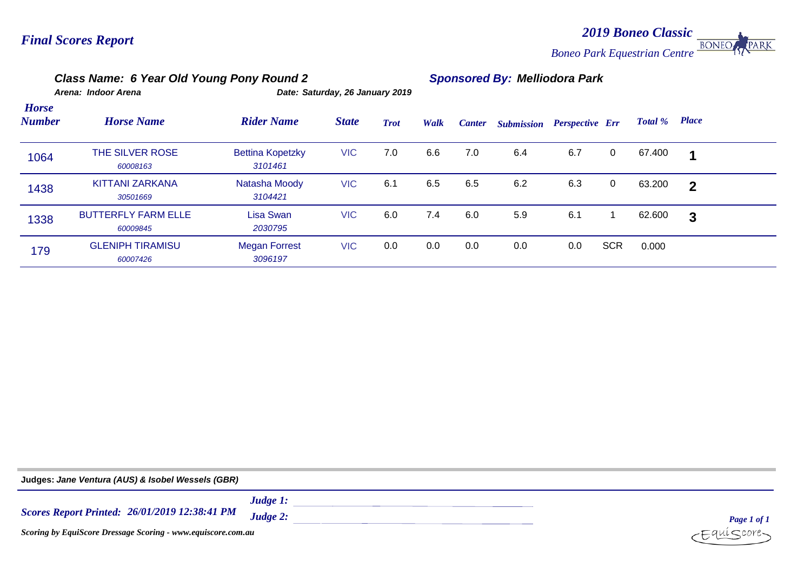#### *2019 Boneo Classic* **BONEO** PARK *Boneo Park Equestrian Centre*

#### *Class Name: 6 Year Old Young Pony Round 2 Sponsored By: Melliodora Park Arena: Indoor Arena Date: Saturday, 26 January 2019 Place Horse Number Horse Name Rider Name State Trot Walk Canter Submission Perspective Err Total %* 1064 THE SILVER ROSE Bettina Kopetzky VIC 7.0 6.6 7.0 6.4 67.400 **1** 6.7 0 *60008163 3101461* 1438 KITTANI ZARKANA Natasha Moody VIC 6.1 6.5 6.5 6.2 63.200 **2** 6.3 0 *30501669 3104421* 1338 BUTTERFLY FARM ELLE Lisa Swan VIC 6.0 7.4 6.0 5.9 62.600 **3** 6.1 1 *60009845 2030795* 179 GLENIPH TIRAMISU Megan Forrest VIC 0.0 0.0 0.0 0.0 0.0 SCR 0.000 *60007426 3096197*

| Judges: Jane Ventura (AUS) & Isobel Wessels (GBR)            |                            |                          |
|--------------------------------------------------------------|----------------------------|--------------------------|
| <b>Scores Report Printed: 26/01/2019 12:38:41 PM</b>         | Judge $1$ :<br>Judge $2$ : | Page 1 of 1              |
| Scoring by EquiScore Dressage Scoring - www.equiscore.com.au |                            | $c$ Equí $S$ core $\sim$ |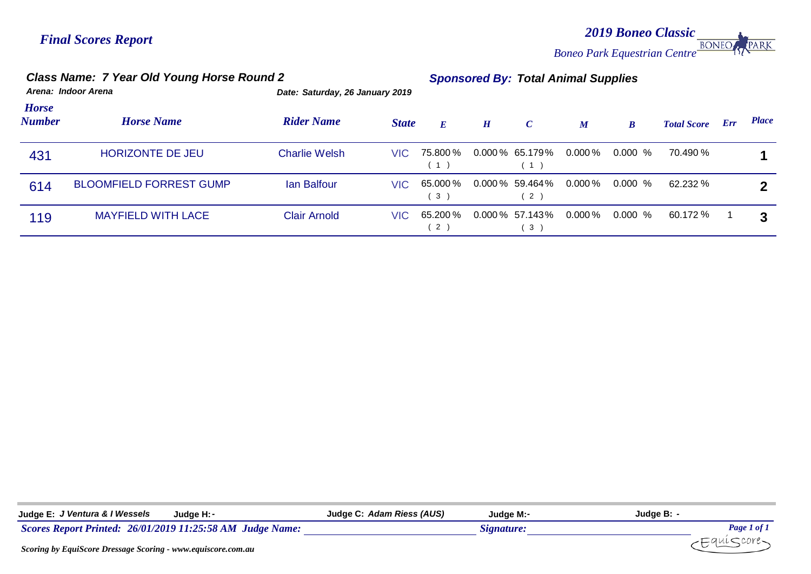*2019 Boneo Classic* PARK *Boneo Park Equestrian Centre*

|                        | Class Name: 7 Year Old Young Horse Round 2 |                                 |              |                                | <b>Sponsored By: Total Animal Supplies</b> |                                  |                  |                  |                    |     |              |  |  |  |
|------------------------|--------------------------------------------|---------------------------------|--------------|--------------------------------|--------------------------------------------|----------------------------------|------------------|------------------|--------------------|-----|--------------|--|--|--|
|                        | Arena: Indoor Arena                        | Date: Saturday, 26 January 2019 |              |                                |                                            |                                  |                  |                  |                    |     |              |  |  |  |
| <b>Horse</b><br>Number | <b>Horse Name</b>                          | <b>Rider Name</b>               | <b>State</b> | $\bm{E}$                       | H                                          | $\mathcal{C}$                    | $\boldsymbol{M}$ | $\boldsymbol{B}$ | <b>Total Score</b> | Err | <b>Place</b> |  |  |  |
| 431                    | <b>HORIZONTE DE JEU</b>                    | <b>Charlie Welsh</b>            | VIC.         | 75.800 %<br>$\left( 1 \right)$ |                                            | $0.000\,\%$ 65.179%<br>(1)       | 0.000 %          | $0.000\%$        | 70.490 %           |     |              |  |  |  |
| 614                    | <b>BLOOMFIELD FORREST GUMP</b>             | lan Balfour                     | VIC.         | 65.000 %<br>3)                 |                                            | $0.000\%$ 59.464%<br>$2^{\circ}$ | $0.000\,\%$      | $0.000\%$        | 62.232 %           |     |              |  |  |  |
| 119                    | <b>MAYFIELD WITH LACE</b>                  | <b>Clair Arnold</b>             | VIC.         | 65.200%<br>2)                  |                                            | $0.000\%$ 57.143%<br>3           | $0.000\,\%$      | $0.000\%$        | 60.172 %           |     | 3            |  |  |  |

| Judge E: J Ventura & I Wessels<br>Judge H: -                    | Judge C: Adam Riess (AUS) | Judae M: <i>-</i> | Judge B: -  |
|-----------------------------------------------------------------|---------------------------|-------------------|-------------|
| Scores Report Printed: 26/01/2019 11:25:58 AM Judge Name:       |                           | Signature:        | Page 1 of 1 |
| Coording by FaulCoope Dressages Coording them agricoope compare |                           |                   |             |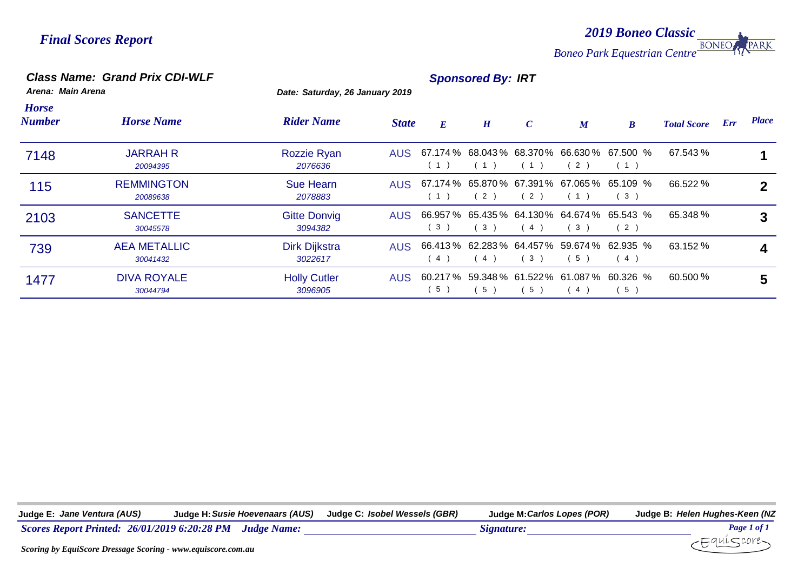*2019 Boneo Classic* **BONEO PARK** *Boneo Park Equestrian Centre*

#### *Class Name: Grand Prix CDI-WLF Sponsored By: IRT*

*Arena: Main Arena Date: Saturday, 26 January 2019*

| <b>Horse</b><br><b>Number</b> | <b>Horse Name</b>               | <b>Rider Name</b>              | <b>State</b> | E              | H   | $\mathcal{C}$ | $\boldsymbol{M}$ | $\boldsymbol{B}$                                        | <b>Total Score</b> | Err | <b>Place</b> |
|-------------------------------|---------------------------------|--------------------------------|--------------|----------------|-----|---------------|------------------|---------------------------------------------------------|--------------------|-----|--------------|
| 7148                          | <b>JARRAH R</b><br>20094395     | Rozzie Ryan<br>2076636         |              | (1)            | (1) | (1)           | 2)               | AUS 67.174 % 68.043 % 68.370 % 66.630 % 67.500 %<br>(1) | 67.543 %           |     |              |
| 115                           | <b>REMMINGTON</b><br>20089638   | <b>Sue Hearn</b><br>2078883    |              | (1)            | (2) | (2)           | $\overline{1}$   | AUS 67.174 % 65.870 % 67.391 % 67.065 % 65.109 %<br>(3) | 66.522 %           |     |              |
| 2103                          | <b>SANCETTE</b><br>30045578     | <b>Gitte Donvig</b><br>3094382 | AUS          | 3 <sup>1</sup> | (3) | (4)           | 3)               | 66.957 % 65.435 % 64.130 % 64.674 % 65.543 %<br>(2)     | 65.348 %           |     | 3            |
| 739                           | <b>AEA METALLIC</b><br>30041432 | Dirk Dijkstra<br>3022617       | AUS          | 4              | (4) | (3)           | 5)               | 66.413 % 62.283 % 64.457 % 59.674 % 62.935 %<br>(4)     | 63.152 %           |     | 4            |
| 1477                          | <b>DIVA ROYALE</b><br>30044794  | <b>Holly Cutler</b><br>3096905 | AUS.         | 5              | (5) | 5)            | 4)               | 60.217 % 59.348 % 61.522 % 61.087 % 60.326 %<br>5)      | 60.500 %           |     | 5            |

**Judge E:** *Jane Ventura (AUS)* **Judge H:***Susie Hoevenaars (AUS)* **Judge C:** *Isobel Wessels (GBR)* **Judge M:***Carlos Lopes (POR)* **Judge B:** *Helen Hughes-Keen (NZ*



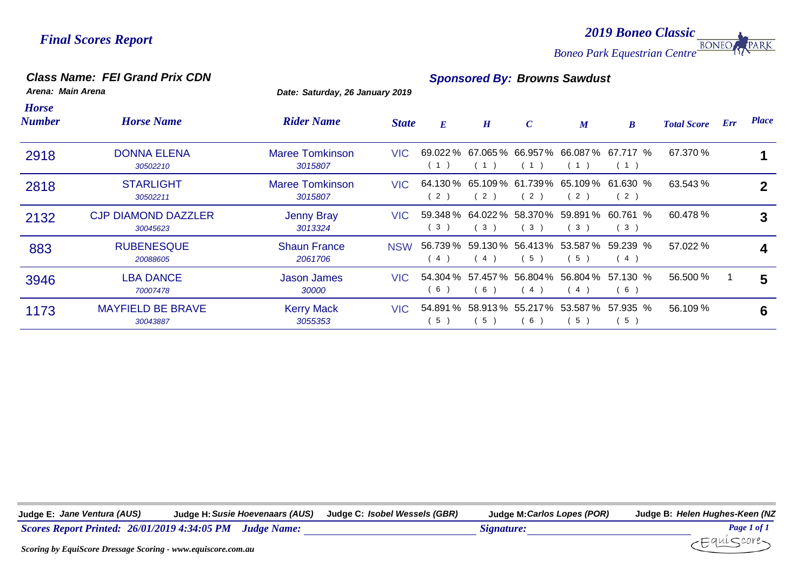*2019 Boneo Classic* PARK **BONEO** *Boneo Park Equestrian Centre*

#### *Class Name: FEI Grand Prix CDN Sponsored By: Browns Sawdust*

*Arena: Main Arena Date: Saturday, 26 January 2019*

| <b>Horse</b><br><b>Number</b> | <b>Horse Name</b>                      | <b>Rider Name</b>                 | <b>State</b> | E   | H                                | $\boldsymbol{C}$ | $\boldsymbol{M}$                           | $\boldsymbol{B}$                                       | <b>Total Score</b> | Err | <b>Place</b> |
|-------------------------------|----------------------------------------|-----------------------------------|--------------|-----|----------------------------------|------------------|--------------------------------------------|--------------------------------------------------------|--------------------|-----|--------------|
| 2918                          | <b>DONNA ELENA</b><br>30502210         | <b>Maree Tomkinson</b><br>3015807 | VIC.         | (1) | (1)                              | (1)              | (1)                                        | 69.022 % 67.065 % 66.957 % 66.087 % 67.717 %<br>(1)    | 67.370 %           |     |              |
| 2818                          | <b>STARLIGHT</b><br>30502211           | <b>Maree Tomkinson</b><br>3015807 | VIC.         | 2)  | 2)                               | (2)              | (2)                                        | 64.130 % 65.109 % 61.739 % 65.109 % 61.630 %<br>(2)    | 63.543 %           |     | $\mathbf{2}$ |
| 2132                          | <b>CJP DIAMOND DAZZLER</b><br>30045623 | <b>Jenny Bray</b><br>3013324      | VIC.         | (3) | 59.348 % 64.022 % 58.370 %<br>3) | (3)              | 59.891 %<br>(3)                            | 60.761 %<br>(3)                                        | 60.478 %           |     | 3            |
| 883                           | <b>RUBENESQUE</b><br>20088605          | <b>Shaun France</b><br>2061706    | <b>NSW</b>   | (4) | (4)                              | 5)               | 56.739 % 59.130 % 56.413 % 53.587 %<br>(5) | 59.239 %<br>(4)                                        | 57.022 %           |     |              |
| 3946                          | <b>LBA DANCE</b><br>70007478           | <b>Jason James</b><br>30000       | VIC -        | (6) | 6                                | (4)              | (4)                                        | 54.304 % 57.457 % 56.804 % 56.804 % 57.130 %<br>(6)    | 56.500 %           |     | 5            |
| 1173                          | <b>MAYFIELD BE BRAVE</b><br>30043887   | <b>Kerry Mack</b><br>3055353      |              | 5)  | 5 <sup>1</sup>                   | 6)               | (5)                                        | VIC 54.891 % 58.913 % 55.217 % 53.587 % 57.935 %<br>5) | $56.109\%$         |     | 6            |

**Judge E:** *Jane Ventura (AUS)* **Judge H:***Susie Hoevenaars (AUS)* **Judge C:** *Isobel Wessels (GBR)* **Judge M:***Carlos Lopes (POR)* **Judge B:** *Helen Hughes-Keen (NZ*

*Scores Report Printed: 26/01/2019 4:34:05 PM Judge Name: Signature: Page 1 of 1*

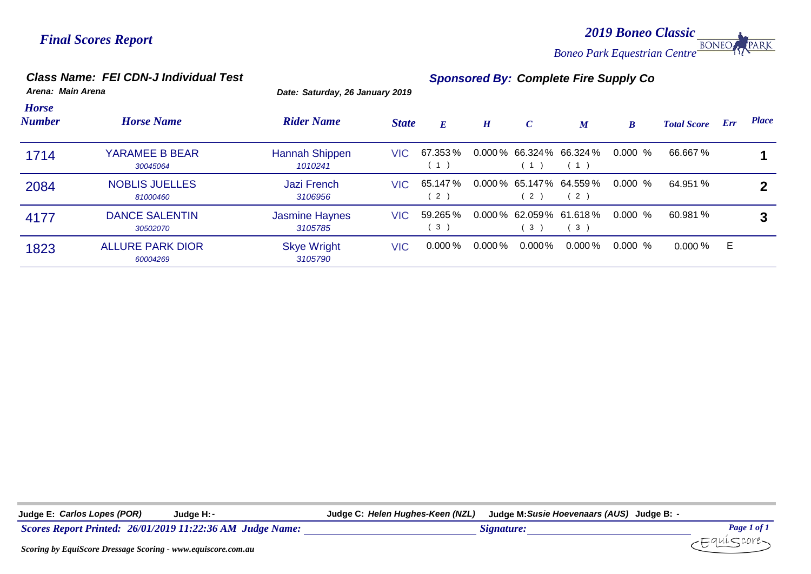*2019 Boneo Classic* **BONEC** *Boneo Park Equestrian Centre*

#### *Class Name: FEI CDN-J Individual Test Sponsored By: Complete Fire Supply Co*

*Arena: Main Arena Date: Saturday, 26 January 2019*

| <b>Horse</b><br><b>Number</b> | <b>Horse Name</b>                   | <b>Rider Name</b>                | <b>State</b> | E                         | H           | $\mathcal{C}$ | $\boldsymbol{M}$                   | $\boldsymbol{B}$ | <b>Total Score</b> | Err | <b>Place</b> |
|-------------------------------|-------------------------------------|----------------------------------|--------------|---------------------------|-------------|---------------|------------------------------------|------------------|--------------------|-----|--------------|
| 1714                          | YARAMEE B BEAR<br>30045064          | Hannah Shippen<br>1010241        | VIC.         | 67.353%<br>$\overline{1}$ |             | (1)           | $0.000\%$ 66.324% 66.324%          | 0.000%           | 66.667 %           |     |              |
| 2084                          | <b>NOBLIS JUELLES</b><br>81000460   | <b>Jazi French</b><br>3106956    | VIC.         | 65.147 %<br>2)            |             | (2)           | $0.000\,\%$ 65.147% 64.559%<br>(2) | $0.000\%$        | 64.951 %           |     | 2            |
| 4177                          | <b>DANCE SALENTIN</b><br>30502070   | <b>Jasmine Haynes</b><br>3105785 | VIC.         | 59.265 %<br>3)            |             | 3)            | $0.000\,\%$ 62.059% 61.618%<br>(3) | $0.000\%$        | 60.981 %           |     | 3            |
| 1823                          | <b>ALLURE PARK DIOR</b><br>60004269 | <b>Skye Wright</b><br>3105790    | VIC.         | $0.000\,\%$               | $0.000\,\%$ | $0.000\%$     | $0.000\,\%$                        | $0.000\%$        | $0.000\%$          | E   |              |

**Judge E:** *Carlos Lopes (POR)* **Judge H:***-* **Judge C:** *Helen Hughes-Keen (NZL)* **Judge M:***Susie Hoevenaars (AUS)* **Judge B:** *-*

*Scores Report Printed: 26/01/2019 11:22:36 AM Judge Name: Signature: Page 1 of 1*



·Equí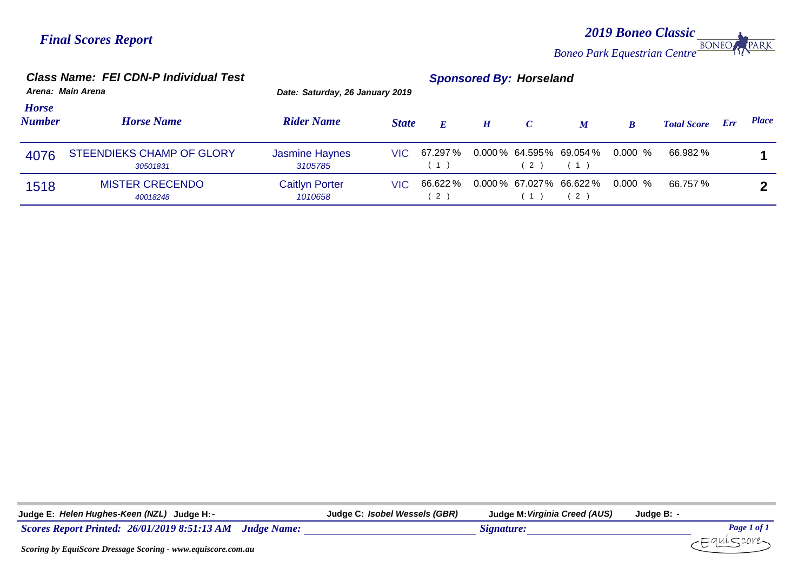*2019 Boneo Classic Boneo Park Equestrian Centre* **BONEO** 

|                               | <b>Class Name: FEI CDN-P Individual Test</b><br>Arena: Main Arena | <b>Sponsored By: Horseland</b><br>Date: Saturday, 26 January 2019 |              |                          |   |               |                                        |         |                    |     |              |
|-------------------------------|-------------------------------------------------------------------|-------------------------------------------------------------------|--------------|--------------------------|---|---------------|----------------------------------------|---------|--------------------|-----|--------------|
| <b>Horse</b><br><b>Number</b> | <b>Horse Name</b>                                                 | <b>Rider Name</b>                                                 | <b>State</b> | $\bm{E}$                 | H | $\mathcal{C}$ | $\boldsymbol{M}$                       | B       | <b>Total Score</b> | Err | <b>Place</b> |
| 4076                          | STEENDIEKS CHAMP OF GLORY<br>30501831                             | <b>Jasmine Haynes</b><br>3105785                                  | VIC.         | 67.297 %<br>(1)          |   | 2)            | $0.000\,\%$ 64.595% 69.054%<br>(1)     | 0.000 % | 66.982 %           |     |              |
| 1518                          | <b>MISTER CRECENDO</b><br>40018248                                | <b>Caitlyn Porter</b><br>1010658                                  | VIC          | 66.622%<br>$^{\prime}$ 2 |   | 1)            | $0.000\%$ 67.027% 66.622% 0.000 %<br>2 |         | 66.757 %           |     |              |

| Judge E: Helen Hughes-Keen (NZL) Judge H: -                               | Judge C: Isobel Wessels (GBR) | Judge M: Virginia Creed (AUS) | Judge B: |                    |
|---------------------------------------------------------------------------|-------------------------------|-------------------------------|----------|--------------------|
| <b>Scores Report Printed: 26/01/2019 8:51:13 AM</b><br><b>Judge Name:</b> |                               | Signature:                    |          | <b>Page 1 of 1</b> |
| Seoring by Faui Seore Dressage Seoring www.equiseore.com au               |                               |                               |          |                    |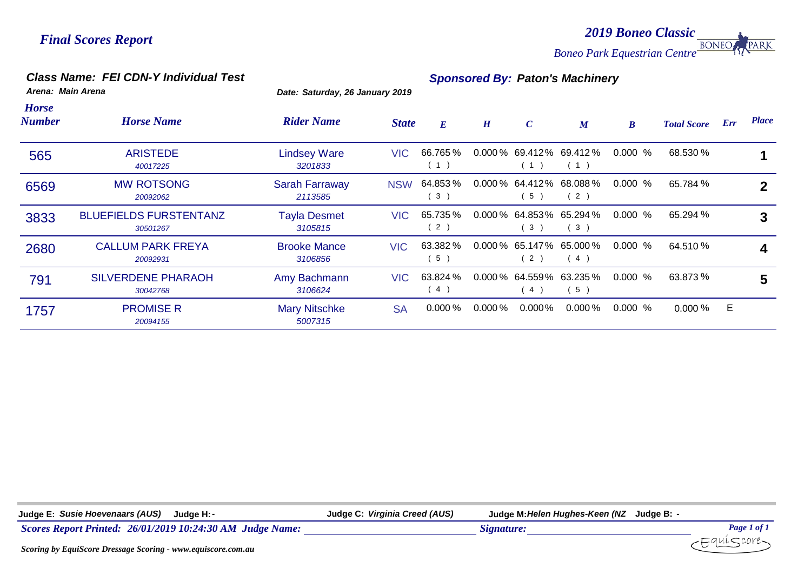*2019 Boneo Classic* **BONEC** PARK *Boneo Park Equestrian Centre*

#### *Class Name: FEI CDN-Y Individual Test Sponsored By: Paton's Machinery*

*Arena: Main Arena Date: Saturday, 26 January 2019*

| <b>Horse</b><br><b>Number</b> | <b>Horse Name</b>                         | <b>Rider Name</b>                | <b>State</b> | $E_{\parallel}$ | H           | $\boldsymbol{C}$         | $\boldsymbol{M}$                   | $\boldsymbol{B}$ | <b>Total Score</b> | Err | <b>Place</b> |
|-------------------------------|-------------------------------------------|----------------------------------|--------------|-----------------|-------------|--------------------------|------------------------------------|------------------|--------------------|-----|--------------|
| 565                           | <b>ARISTEDE</b><br>40017225               | <b>Lindsey Ware</b><br>3201833   | <b>VIC</b>   | 66.765 %<br>1)  |             | (1)                      | $0.000\%$ 69.412\% 69.412\%<br>(1) | 0.000%           | 68.530 %           |     |              |
| 6569                          | <b>MW ROTSONG</b><br>20092062             | <b>Sarah Farraway</b><br>2113585 | <b>NSW</b>   | 64.853%<br>3)   |             | (5)                      | $0.000\%$ 64.412% 68.088%<br>(2)   | 0.000%           | 65.784 %           |     | $\mathbf{2}$ |
| 3833                          | <b>BLUEFIELDS FURSTENTANZ</b><br>30501267 | <b>Tayla Desmet</b><br>3105815   | VIC.         | 65.735 %<br>2)  |             | (3)                      | $0.000\%$ 64.853% 65.294%<br>(3)   | $0.000 \%$       | 65.294 %           |     | 3            |
| 2680                          | <b>CALLUM PARK FREYA</b><br>20092931      | <b>Brooke Mance</b><br>3106856   | <b>VIC</b>   | 63.382 %<br>5)  |             | (2)                      | $0.000\%$ 65.147% 65.000%<br>(4)   | $0.000 \%$       | 64.510 %           |     | 4            |
| 791                           | <b>SILVERDENE PHARAOH</b><br>30042768     | Amy Bachmann<br>3106624          | VIC-         | 63.824 %<br>4)  |             | $0.000\%$ 64.559%<br>(4) | 63.235%<br>(5)                     | 0.000%           | 63.873 %           |     | 5            |
| 1757                          | <b>PROMISE R</b><br>20094155              | <b>Mary Nitschke</b><br>5007315  | <b>SA</b>    | $0.000\%$       | $0.000\,\%$ | $0.000\%$                | $0.000\,\%$                        | 0.000%           | 0.000%             | E   |              |

| Judge E: Susie Hoevenaars (AUS) Judge H: -                | Judge C: Virginia Creed (AUS) | Judge M: Helen Hughes-Keen (NZ Judge B: - |             |
|-----------------------------------------------------------|-------------------------------|-------------------------------------------|-------------|
| Scores Report Printed: 26/01/2019 10:24:30 AM Judge Name: |                               | Signature:                                | Page 1 of 1 |
| $\alpha$ $\alpha$ $\alpha$ $\alpha$                       |                               |                                           | -Equiscore- |

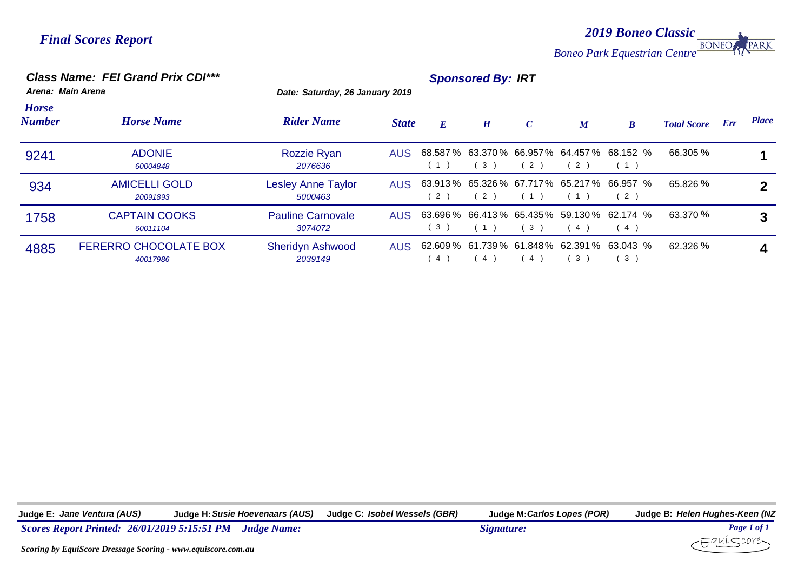*2019 Boneo Classic* **BONEO** PARK *Boneo Park Equestrian Centre*

#### *Class Name: FEI Grand Prix CDI\*\*\* Sponsored By: IRT*

*Arena: Main Arena Date: Saturday, 26 January 2019*

| <b>Horse</b><br><b>Number</b> | <b>Horse Name</b>                        | <b>Rider Name</b>                    | <b>State</b> | $\boldsymbol{E}$ | $\boldsymbol{H}$ | $\mathcal{C}$  | M  | $\boldsymbol{B}$                                        | <b>Total Score</b> | Err | <b>Place</b> |
|-------------------------------|------------------------------------------|--------------------------------------|--------------|------------------|------------------|----------------|----|---------------------------------------------------------|--------------------|-----|--------------|
| 9241                          | <b>ADONIE</b><br>60004848                | Rozzie Ryan<br>2076636               |              | (1)              | 3)               | 2)             | 2) | AUS 68.587 % 63.370 % 66.957 % 64.457 % 68.152 %<br>(1) | 66.305 %           |     |              |
| 934                           | <b>AMICELLI GOLD</b><br>20091893         | <b>Lesley Anne Taylor</b><br>5000463 |              | 2)               | 2)               |                |    | AUS 63.913% 65.326% 67.717% 65.217% 66.957 %<br>(2)     | 65.826 %           |     |              |
| 1758                          | <b>CAPTAIN COOKS</b><br>60011104         | <b>Pauline Carnovale</b><br>3074072  |              | 3)               | (1)              | 3 <sup>2</sup> | 4) | AUS 63.696 % 66.413 % 65.435 % 59.130 % 62.174 %<br>(4) | 63.370 %           |     |              |
| 4885                          | <b>FERERRO CHOCOLATE BOX</b><br>40017986 | <b>Sheridyn Ashwood</b><br>2039149   |              | 4)               | -4)              | 4              | 3  | AUS 62.609 % 61.739 % 61.848 % 62.391 % 63.043 %<br>3)  | 62.326 %           |     |              |

**Judge E:** *Jane Ventura (AUS)* **Judge H:***Susie Hoevenaars (AUS)* **Judge C:** *Isobel Wessels (GBR)* **Judge M:***Carlos Lopes (POR)* **Judge B:** *Helen Hughes-Keen (NZ*

*Scores Report Printed: 26/01/2019 5:15:51 PM Judge Name: Signature: Page 1 of 1*

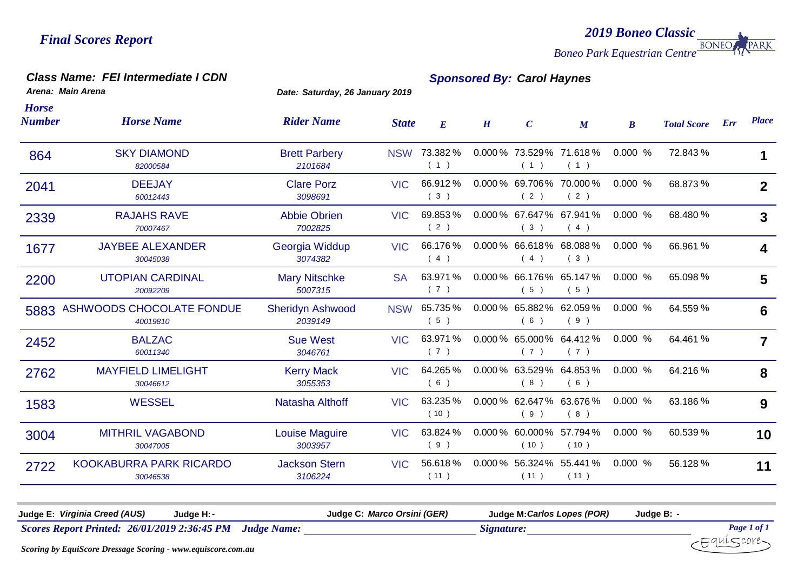*2019 Boneo Classic* **BONEO** PARK *Boneo Park Equestrian Centre*

#### *Class Name: FEI Intermediate I CDN Sponsored By: Carol Haynes*

*Arena: Main Arena Date: Saturday, 26 January 2019*

|                                              |                                    |            |                  | H | $\mathcal{C}$ | $\boldsymbol{M}$ | $\boldsymbol{B}$                                                                                                                                                                                                                                                                                                            | <b>Total Score</b> | Err | <b>Place</b>            |
|----------------------------------------------|------------------------------------|------------|------------------|---|---------------|------------------|-----------------------------------------------------------------------------------------------------------------------------------------------------------------------------------------------------------------------------------------------------------------------------------------------------------------------------|--------------------|-----|-------------------------|
| 82000584                                     | <b>Brett Parbery</b><br>2101684    | <b>NSW</b> | 73.382%<br>(1)   |   | (1)           | (1)              | 0.000%                                                                                                                                                                                                                                                                                                                      | 72.843 %           |     | 1                       |
| <b>DEEJAY</b><br>60012443                    | <b>Clare Porz</b><br>3098691       | <b>VIC</b> | 66.912%<br>(3)   |   | (2)           | (2)              | 0.000%                                                                                                                                                                                                                                                                                                                      | 68.873 %           |     | $\mathbf{2}$            |
| <b>RAJAHS RAVE</b><br>70007467               | <b>Abbie Obrien</b><br>7002825     | <b>VIC</b> | 69.853%<br>(2)   |   | (3)           | (4)              | 0.000%                                                                                                                                                                                                                                                                                                                      | 68.480 %           |     | 3                       |
| <b>JAYBEE ALEXANDER</b><br>30045038          | Georgia Widdup<br>3074382          | <b>VIC</b> | 66.176%<br>(4)   |   | (4)           | (3)              | 0.000%                                                                                                                                                                                                                                                                                                                      | 66.961 %           |     | 4                       |
| <b>UTOPIAN CARDINAL</b><br>20092209          | <b>Mary Nitschke</b><br>5007315    | <b>SA</b>  | 63.971 %<br>(7)  |   | (5)           | (5)              | 0.000%                                                                                                                                                                                                                                                                                                                      | 65.098 %           |     | 5                       |
| <b>ASHWOODS CHOCOLATE FONDUE</b><br>40019810 | <b>Sheridyn Ashwood</b><br>2039149 | <b>NSW</b> | 65.735%<br>(5)   |   | (6)           | (9)              | 0.000%                                                                                                                                                                                                                                                                                                                      | 64.559 %           |     | 6                       |
| <b>BALZAC</b><br>60011340                    | <b>Sue West</b><br>3046761         | <b>VIC</b> | 63.971 %<br>(7)  |   | (7)           | (7)              | 0.000%                                                                                                                                                                                                                                                                                                                      | 64.461 %           |     | $\overline{\mathbf{z}}$ |
| <b>MAYFIELD LIMELIGHT</b><br>30046612        | <b>Kerry Mack</b><br>3055353       | <b>VIC</b> | 64.265%<br>(6)   |   | (8)           | (6)              | 0.000%                                                                                                                                                                                                                                                                                                                      | 64.216 %           |     | 8                       |
| <b>WESSEL</b>                                | Natasha Althoff                    | <b>VIC</b> | 63.235 %<br>(10) |   | (9)           | (8)              | 0.000%                                                                                                                                                                                                                                                                                                                      | 63.186 %           |     | 9                       |
| <b>MITHRIL VAGABOND</b><br>30047005          | <b>Louise Maguire</b><br>3003957   | <b>VIC</b> | 63.824 %<br>(9)  |   | (10)          | (10)             | 0.000%                                                                                                                                                                                                                                                                                                                      | 60.539 %           |     | 10                      |
| KOOKABURRA PARK RICARDO<br>30046538          | <b>Jackson Stern</b><br>3106224    | <b>VIC</b> | 56.618%<br>(11)  |   | (11)          | (11)             | 0.000%                                                                                                                                                                                                                                                                                                                      | 56.128 %           |     | 11                      |
|                                              | <b>SKY DIAMOND</b>                 |            |                  |   |               |                  | 0.000 % 73.529 % 71.618 %<br>0.000 % 69.706 % 70.000 %<br>0.000 % 67.647 % 67.941 %<br>0.000 % 66.618 % 68.088 %<br>0.000 % 66.176 % 65.147 %<br>$0.000\%$ 65.882% 62.059%<br>0.000 % 65.000 % 64.412 %<br>0.000 % 63.529 % 64.853 %<br>0.000 % 62.647 % 63.676 %<br>0.000 % 60.000 % 57.794 %<br>0.000 % 56.324 % 55.441 % |                    |     |                         |

**Judge E:** *Virginia Creed (AUS)* **Judge H:***-* **Judge C:** *Marco Orsini (GER)* **Judge M:***Carlos Lopes (POR)* **Judge B:** *-Scores Report Printed: 26/01/2019 2:36:45 PM Judge Name: Signature: Page 1 of 1*  $\mp$ qui $\leq$ core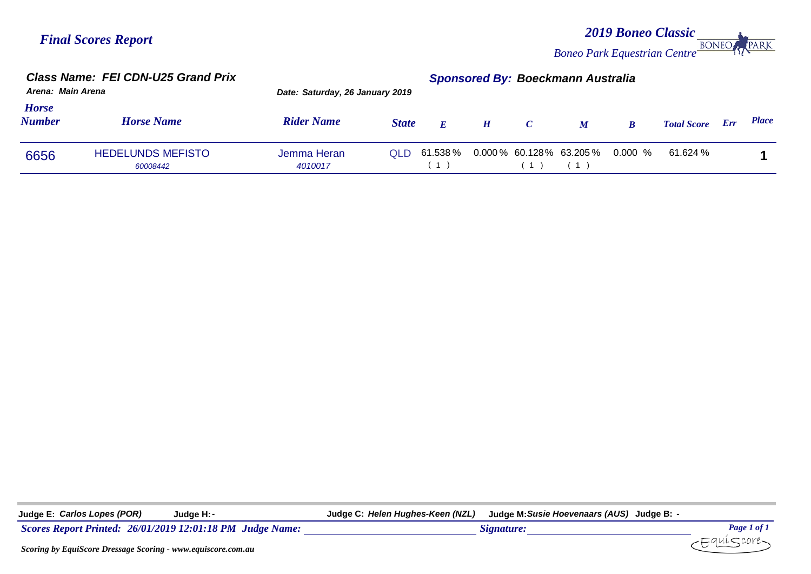#### *2019 Boneo Classic* PARK **BONEC** *Boneo Park Equestrian Centre*

|                               | <b>Class Name: FEI CDN-U25 Grand Prix</b><br>Arena: Main Arena |                                 |              | <b>Sponsored By: Boeckmann Australia</b>               |   |               |                  |          |                    |     |              |
|-------------------------------|----------------------------------------------------------------|---------------------------------|--------------|--------------------------------------------------------|---|---------------|------------------|----------|--------------------|-----|--------------|
|                               |                                                                | Date: Saturday, 26 January 2019 |              |                                                        |   |               |                  |          |                    |     |              |
| <b>Horse</b><br><b>Number</b> | <b>Horse Name</b>                                              | <b>Rider Name</b>               | <b>State</b> | $\boldsymbol{E}$                                       | H | $\mathcal{C}$ | $\boldsymbol{M}$ | $\bm{B}$ | <b>Total Score</b> | Err | <b>Place</b> |
| 6656                          | <b>HEDELUNDS MEFISTO</b><br>60008442                           | Jemma Heran<br>4010017          |              | $\Omega$ LD 61.538 % 0.000 % 60.128 % 63.205 % 0.000 % |   |               |                  |          | 61.624 %           |     |              |

**Judge E:** *Carlos Lopes (POR)* **Judge H:***-* **Judge C:** *Helen Hughes-Keen (NZL)* **Judge M:***Susie Hoevenaars (AUS)* **Judge B:** *-*

*Scores Report Printed:* 26/01/2019 12:01:18 PM *Judge Name: Signature: Signature: Page 1 of 1 Page 1 of 1 Page 1 of 1 Page 1 of 1 Page 1 of 1 Page 1 of 1 Page 1 of 1 Page 1 of 1 Page 1 of* 

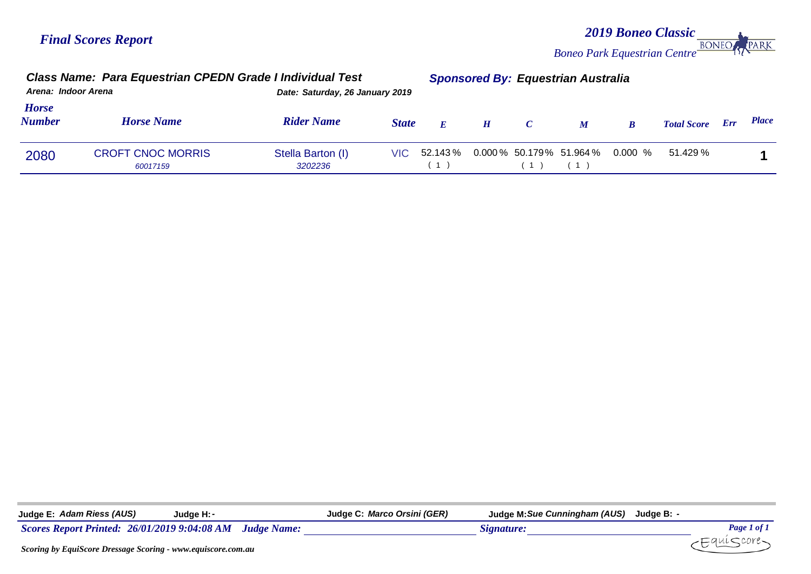*2019 Boneo Classic* **PARK BONEC** *Boneo Park Equestrian Centre*

#### *Class Name: Para Equestrian CPEDN Grade I Individual Test Sponsored By: Equestrian Australia Arena: Indoor Arena Date: Saturday, 26 January 2019 Place Horse Number Horse Name Rider Name State <sup>E</sup> <sup>H</sup> <sup>C</sup> <sup>M</sup> <sup>B</sup> Total Score Err* 2080 CROFT CNOC MORRIS Stella Barton (I) VIC 52.143 % 0.000 % 50.179 % 51.964 % 0.000 % 51.429 % 1<br>
3202236 (1) (1) (1) 0.000 *60017159 3202236* ( 1 ) ( 1 ) ( 1 )  $0.000\%$  50.179% 51.964%

| Judge E: Adam Riess (AUS)<br>Judge H: -                    | Judge C: Marco Orsini (GER) | Judge M: Sue Cunningham (AUS) Judge B: |                    |
|------------------------------------------------------------|-----------------------------|----------------------------------------|--------------------|
| Scores Report Printed: 26/01/2019 9:04:08 AM Judge Name:   |                             | Signature:                             | <b>Page 1 of 1</b> |
| Seoring by FauiSeare Dressage Seoring www.equiseare.com.gu |                             |                                        |                    |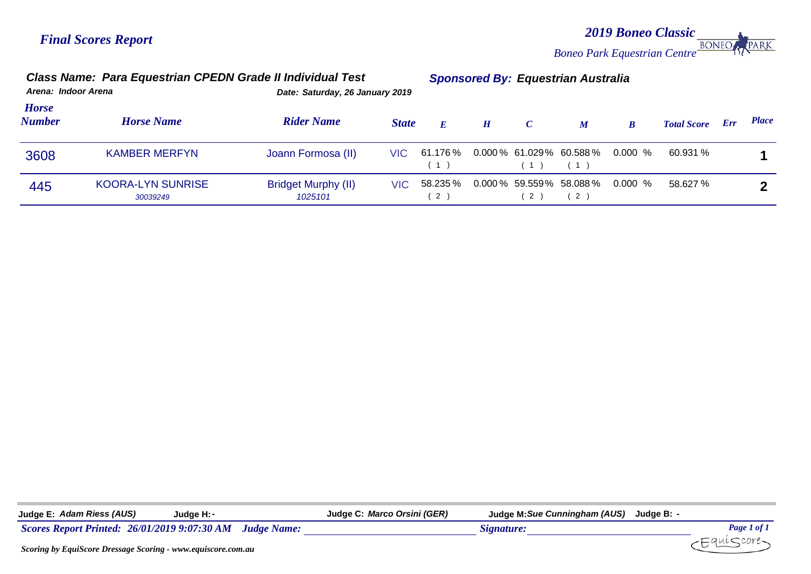*2019 Boneo Classic* **BONEO PARK** *Boneo Park Equestrian Centre*

#### *Class Name: Para Equestrian CPEDN Grade II Individual Test Sponsored By: Equestrian Australia Arena: Indoor Arena Date: Saturday, 26 January 2019 Place Horse Number Horse Name Rider Name State <sup>E</sup> <sup>H</sup> <sup>C</sup> <sup>M</sup> <sup>B</sup> Total Score Err* 3608 KAMBER MERFYN Joann Formosa (II) VIC 61.176 % 0.000 % 61.029 % 60.588 % 0.000 % 60.931 % **1** 0.000  $(1)$   $(1)$   $(1)$  $61.176\%$  0.000 % 61.029 % 60.588 % 0.000 % 60.931 % 445 KOORA-LYN SUNRISE Bridget Murphy (II) VIC 58.235 0.000 59.559% 58.088 58.627 **2** 0.000 % *30039249 1025101* ( 2 ) ( 2 ) ( 2 ) 58.235 % 0.000 % 59.559 % 58.088 % 0.000 % 58.627 %

| Judge E: Adam Riess (AUS)     | Judge H: ·            |                    | Judge C: Marco Orsini (GER) | Judge M: Sue Cunningham (AUS) | Judge B:  |
|-------------------------------|-----------------------|--------------------|-----------------------------|-------------------------------|-----------|
| <b>Scores Report Printed:</b> | 26/01/2019 9:07:30 AM | <b>Judge Name:</b> |                             | Stenature:                    | Page 1 of |
|                               |                       |                    |                             |                               |           |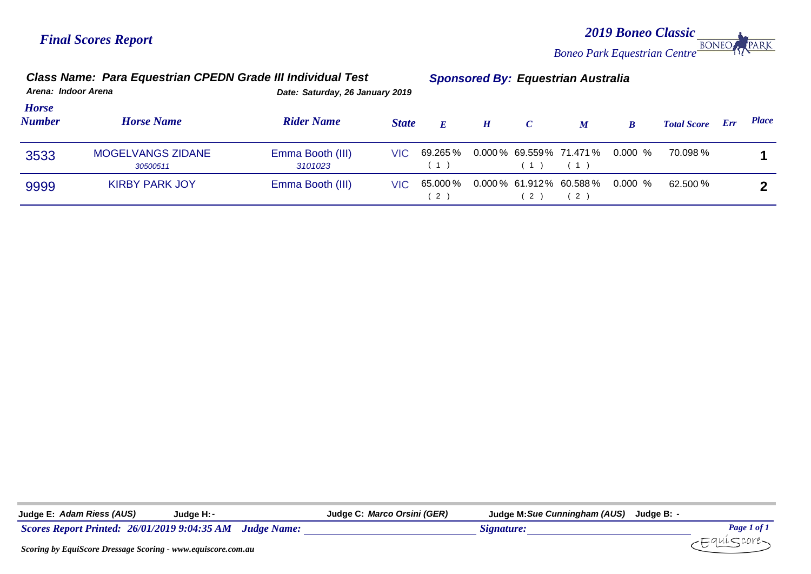*2019 Boneo Classic Boneo Park Equestrian Centre* PARK

#### *Class Name: Para Equestrian CPEDN Grade III Individual Test Sponsored By: Equestrian Australia*

*Arena: Indoor Arena Date: Saturday, 26 January 2019*

| <b>Horse</b><br><b>Number</b> | <b>Horse Name</b>             | <b>Rider Name</b>           | <b>State</b> | $\bm{E}$        | H | $\mathcal{C}$ | M   | B                                 | <b>Total Score Err</b> | <i>Place</i> |
|-------------------------------|-------------------------------|-----------------------------|--------------|-----------------|---|---------------|-----|-----------------------------------|------------------------|--------------|
| 3533                          | MOGELVANGS ZIDANE<br>30500511 | Emma Booth (III)<br>3101023 | VIC          | 69.265%<br>(1)  |   | (1)           | (1) | 0.000 % 69.559 % 71.471 % 0.000 % | 70.098 %               |              |
| 9999                          | <b>KIRBY PARK JOY</b>         | Emma Booth (III)            | VIC -        | 65.000 %<br>(2) |   | 2             | (2  | $0.000\%$ 61.912% 60.588% 0.000 % | 62.500 %               |              |

| Judge E: Adam Riess (AUS)                           | Judge H: - |                    | Judge C: Marco Orsini (GER) | Judge M: Sue Cunningham (AUS) | Judae B: -                               |
|-----------------------------------------------------|------------|--------------------|-----------------------------|-------------------------------|------------------------------------------|
| <b>Scores Report Printed: 26/01/2019 9:04:35 AM</b> |            | <b>Judge Name:</b> |                             | Signature:                    | <b>Page 1 of <math>\mathbf{r}</math></b> |
|                                                     |            |                    |                             |                               |                                          |